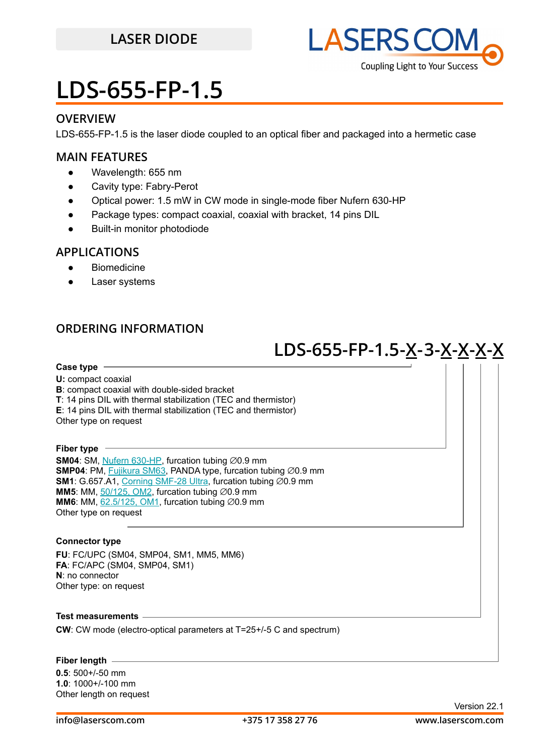

### **OVERVIEW**

LDS-655-FP-1.5 is the laser diode coupled to an optical fiber and packaged into a hermetic case

### **MAIN FEATURES**

- Wavelength: 655 nm
- Cavity type: Fabry-Perot
- Optical power: 1.5 mW in CW mode in single-mode fiber Nufern 630-HP
- Package types: compact coaxial, coaxial with bracket, 14 pins DIL
- **Built-in monitor photodiode**

### **APPLICATIONS**

- Biomedicine
- Laser systems

### **ORDERING INFORMATION**

## **LDS-655-FP-1.5-X-3-X-X-X-X**

**Case type U:** compact coaxial **B**: compact coaxial with double-sided bracket **T**: 14 pins DIL with thermal stabilization (TEC and thermistor)

**E**: 14 pins DIL with thermal stabilization (TEC and thermistor) Other type on request

#### **Fiber type**

**SM04**: SM, [Nufern 630-HP,](https://drive.google.com/file/d/12j5dGqxbssZEcfLVHgwBzsAFk-iMW5Xv/view?usp=sharing) furcation tubing ∅0.9 mm **SMP04**: PM, [Fujikura SM63,](https://drive.google.com/file/d/1dCMTXQjFu8DDh8mAv9fO-URwBNrg9t2w/view?usp=sharing) PANDA type, furcation tubing ⊘0.9 mm **SM1**: G.657.A1, [Corning SMF-28 Ultra,](https://drive.google.com/file/d/1JeMdVLHUIGFdzKdBnzaeOmjsa81S284f/view?usp=sharing) furcation tubing ∅0.9 mm **MM5**: MM,  $50/125$ , OM2, furcation tubing  $\emptyset$ 0.9 mm **MM6**: MM,  $62.5/125$ , OM1, furcation tubing  $\varnothing$ 0.9 mm Other type on request

### **Connector type**

**FU**: FC/UPC (SM04, SMP04, SM1, MM5, MM6) **FA**: FC/APC (SM04, SMP04, SM1) **N**: no connector Other type: on request

### **Test measurements**

**CW**: CW mode (electro-optical parameters at T=25+/-5 C and spectrum)

### **Fiber length**

**0.5**: 500+/-50 mm **1.0**: 1000+/-100 mm Other length on request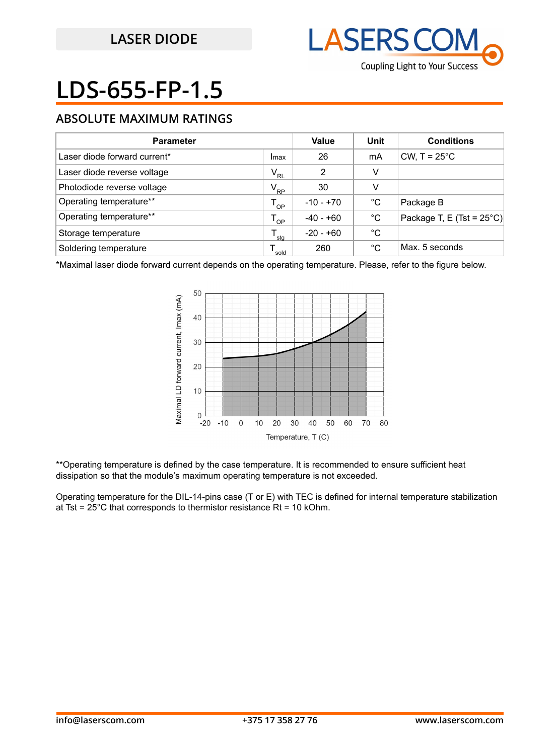

## **ABSOLUTE MAXIMUM RATINGS**

| <b>Parameter</b>             |                            | Value       | Unit | <b>Conditions</b>                   |
|------------------------------|----------------------------|-------------|------|-------------------------------------|
| Laser diode forward current* | Imax                       | 26          | mA   | CW, $T = 25^{\circ}$ C              |
| Laser diode reverse voltage  | $\mathsf{V}_{\mathsf{RL}}$ | 2           | v    |                                     |
| Photodiode reverse voltage   | $V_{\rm RP}$               | 30          | v    |                                     |
| Operating temperature**      | $T_{OP}$                   | $-10 - +70$ | °C   | Package B                           |
| Operating temperature**      | $T_{OP}$                   | $-40 - +60$ | °C   | Package T, E (Tst = $25^{\circ}$ C) |
| Storage temperature          | sta                        | -20 - +60   | °C   |                                     |
| Soldering temperature        | sold                       | 260         | °C   | Max. 5 seconds                      |

\*Maximal laser diode forward current depends on the operating temperature. Please, refer to the figure below.



\*\*Operating temperature is defined by the case temperature. It is recommended to ensure sufficient heat dissipation so that the module's maximum operating temperature is not exceeded.

Operating temperature for the DIL-14-pins case (T or E) with TEC is defined for internal temperature stabilization at Tst =  $25^{\circ}$ C that corresponds to thermistor resistance Rt = 10 kOhm.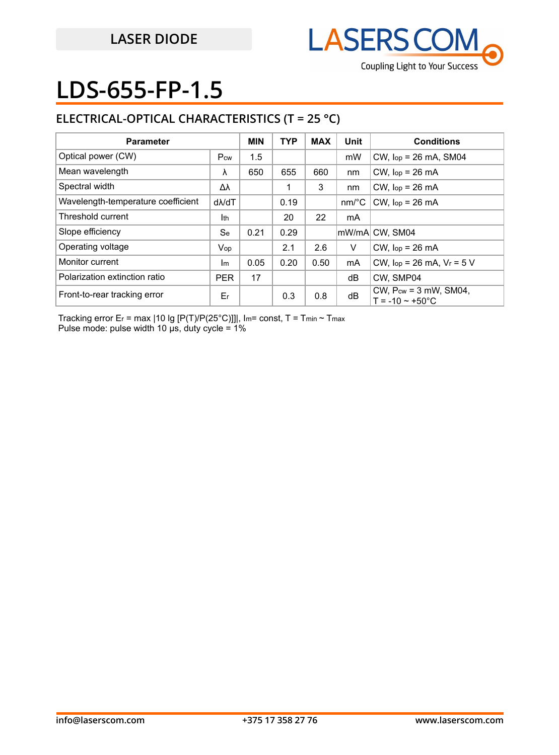

## **ELECTRICAL-OPTICAL CHARACTERISTICS (T = 25 °C)**

| <b>Parameter</b>                   |               | <b>MIN</b> | <b>TYP</b> | <b>MAX</b> | Unit                  | <b>Conditions</b>                                         |
|------------------------------------|---------------|------------|------------|------------|-----------------------|-----------------------------------------------------------|
| Optical power (CW)                 | Pcw           | 1.5        |            |            | mW                    | $CW$ , $lop = 26$ mA, SM04                                |
| Mean wavelength                    | λ             | 650        | 655        | 660        | nm                    | $CW$ , $lop = 26$ mA                                      |
| Spectral width                     | Δλ            |            |            | 3          | nm                    | $CW$ , $lop = 26$ mA                                      |
| Wavelength-temperature coefficient | $d\lambda/dT$ |            | 0.19       |            | $nm$ <sup>o</sup> $C$ | $CW$ , $lop = 26$ mA                                      |
| Threshold current                  | Ith           |            | 20         | 22         | mA                    |                                                           |
| Slope efficiency                   | <b>Se</b>     | 0.21       | 0.29       |            |                       | lmW/mAl CW. SM04                                          |
| Operating voltage                  | Vop           |            | 2.1        | 2.6        | V                     | $CW$ , $lop = 26$ mA                                      |
| Monitor current                    | Im            | 0.05       | 0.20       | 0.50       | mA                    | CW, $lop = 26$ mA, $V_r = 5$ V                            |
| Polarization extinction ratio      | <b>PER</b>    | 17         |            |            | dB                    | CW. SMP04                                                 |
| Front-to-rear tracking error       | Er            |            | 0.3        | 0.8        | dB                    | CW, $P_{cw} = 3$ mW, SM04,<br>$T = -10 \sim +50^{\circ}C$ |

Tracking error Er = max | 10 lg [P(T)/P(25°C)]]|, Im= const, T = Tmin ~ Tmax Pulse mode: pulse width 10 μs, duty cycle = 1%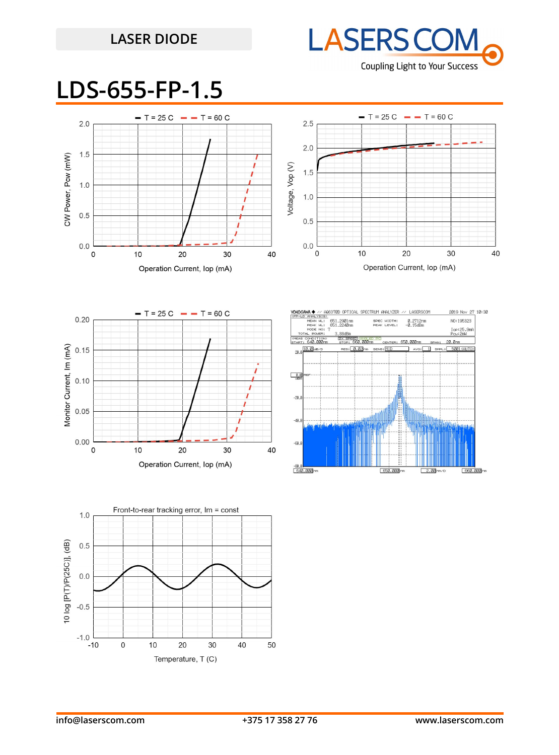## **LASER DIODE**



## **LDS-655-FP-1.5**









10:30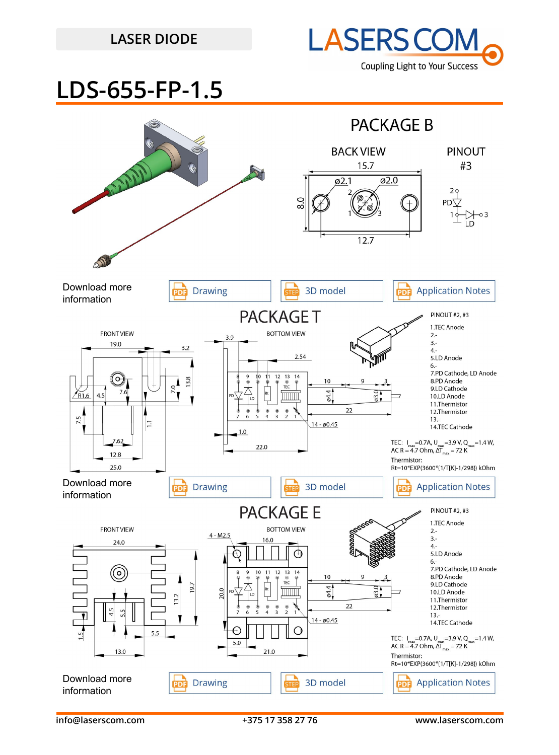## **LASER DIODE**



## **LDS-655-FP-1.5**